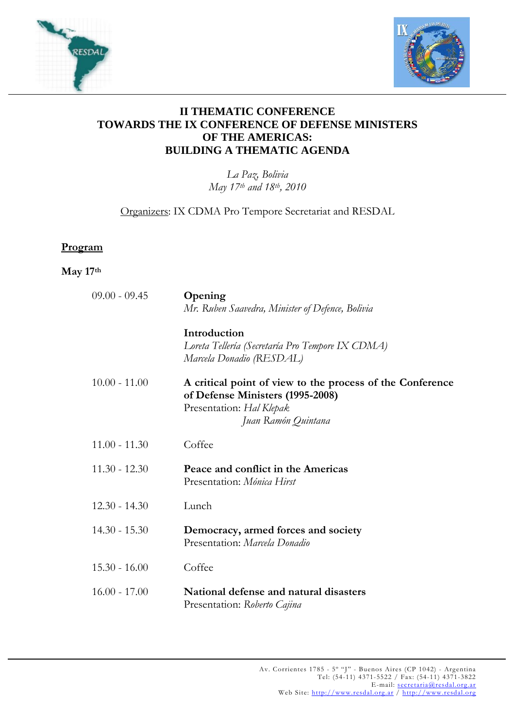



## **II THEMATIC CONFERENCE TOWARDS THE IX CONFERENCE OF DEFENSE MINISTERS OF THE AMERICAS: BUILDING A THEMATIC AGENDA**

*La Paz, Bolivia May 17th and 18th, 2010* 

Organizers: IX CDMA Pro Tempore Secretariat and RESDAL

## **Program**

## **May 17th**

| $09.00 - 09.45$ | Opening<br>Mr. Ruben Saavedra, Minister of Defence, Bolivia                                                                                      |
|-----------------|--------------------------------------------------------------------------------------------------------------------------------------------------|
|                 | Introduction<br>Loreta Tellería (Secretaría Pro Tempore IX CDMA)<br>Marcela Donadio (RESDAL)                                                     |
| $10.00 - 11.00$ | A critical point of view to the process of the Conference<br>of Defense Ministers (1995-2008)<br>Presentation: Hal Klepak<br>Juan Ramón Quintana |
| $11.00 - 11.30$ | Coffee                                                                                                                                           |
| $11.30 - 12.30$ | Peace and conflict in the Americas<br>Presentation: Mónica Hirst                                                                                 |
| $12.30 - 14.30$ | Lunch                                                                                                                                            |
| $14.30 - 15.30$ | Democracy, armed forces and society<br>Presentation: Marcela Donadio                                                                             |
| $15.30 - 16.00$ | Coffee                                                                                                                                           |
| $16.00 - 17.00$ | National defense and natural disasters<br>Presentation: Roberto Cajina                                                                           |